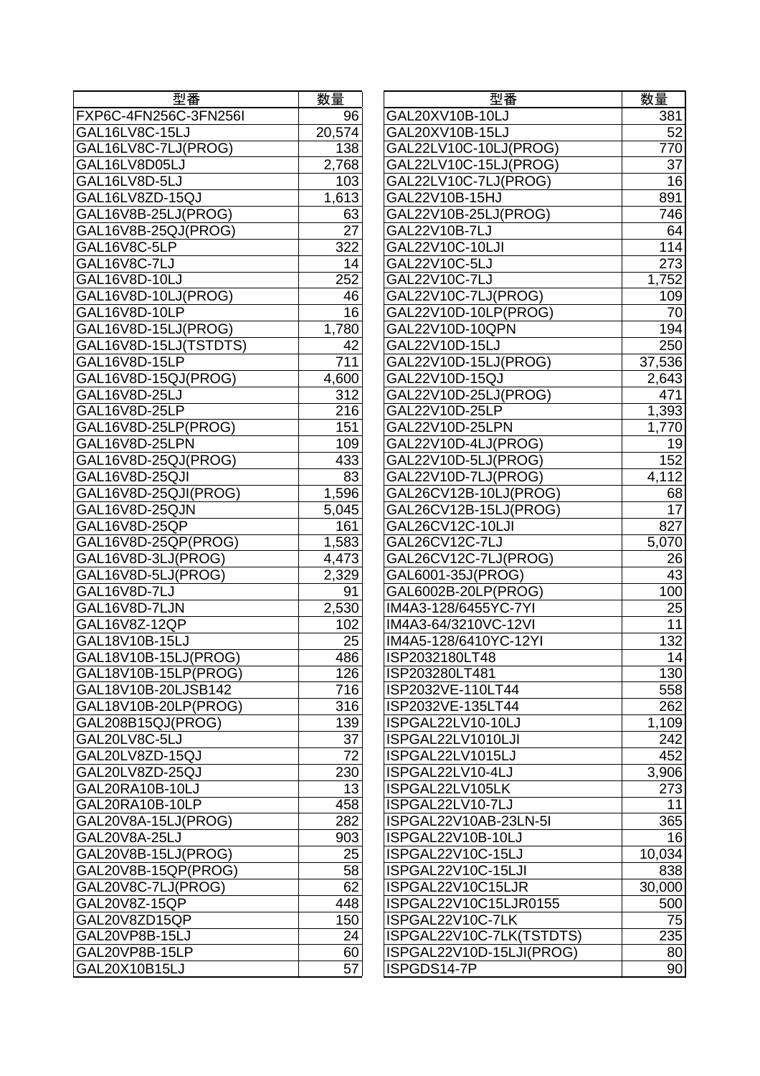| 型番                    | 数量     |
|-----------------------|--------|
| FXP6C-4FN256C-3FN256I | 96     |
| GAL16LV8C-15LJ        | 20,574 |
| GAL16LV8C-7LJ(PROG)   | 138    |
| GAL16LV8D05LJ         | 2,768  |
| GAL16LV8D-5LJ         | 103    |
| GAL16LV8ZD-15QJ       | 1,613  |
| GAL16V8B-25LJ(PROG)   | 63     |
| GAL16V8B-25QJ(PROG)   | 27     |
| GAL16V8C-5LP          | 322    |
| GAL16V8C-7LJ          | 14     |
| GAL16V8D-10LJ         | 252    |
| GAL16V8D-10LJ(PROG)   | 46     |
| GAL16V8D-10LP         | 16     |
| GAL16V8D-15LJ(PROG)   | 1,780  |
| GAL16V8D-15LJ(TSTDTS) | 42     |
| GAL16V8D-15LP         | 711    |
| GAL16V8D-15QJ(PROG)   | 4,600  |
| GAL16V8D-25LJ         | 312    |
| GAL16V8D-25LP         | 216    |
| GAL16V8D-25LP(PROG)   | 151    |
| GAL16V8D-25LPN        | 109    |
| GAL16V8D-25QJ(PROG)   | 433    |
| GAL16V8D-25QJI        | 83     |
| GAL16V8D-25QJI(PROG)  |        |
| GAL16V8D-25QJN        | 1,596  |
| GAL16V8D-25QP         | 5,045  |
|                       | 161    |
| GAL16V8D-25QP(PROG)   | 1,583  |
| GAL16V8D-3LJ(PROG)    | 4,473  |
| GAL16V8D-5LJ(PROG)    | 2,329  |
| GAL16V8D-7LJ          | 91     |
| GAL16V8D-7LJN         | 2,530  |
| GAL16V8Z-12QP         | 102    |
| GAL18V10B-15LJ        | 25     |
| GAL18V10B-15LJ(PROG)  | 486    |
| GAL18V10B-15LP(PROG)  | 126    |
| GAL18V10B-20LJSB142   | 716    |
| GAL18V10B-20LP(PROG)  | 316    |
| GAL208B15QJ(PROG)     | 139    |
| GAL20LV8C-5LJ         | 37     |
| GAL20LV8ZD-15QJ       | 72     |
| GAL20LV8ZD-25QJ       | 230    |
| GAL20RA10B-10LJ       | 13     |
| GAL20RA10B-10LP       | 458    |
| GAL20V8A-15LJ(PROG)   | 282    |
| GAL20V8A-25LJ         | 903    |
| GAL20V8B-15LJ(PROG)   | 25     |
| GAL20V8B-15QP(PROG)   | 58     |
| GAL20V8C-7LJ(PROG)    | 62     |
| GAL20V8Z-15QP         | 448    |
| GAL20V8ZD15QP         | 150    |
| GAL20VP8B-15LJ        | 24     |
| GAL20VP8B-15LP        | 60     |
| GAL20X10B15LJ         | 57     |
|                       |        |

| 型番                    | 数量              | 型番                       | 数量              |
|-----------------------|-----------------|--------------------------|-----------------|
| FXP6C-4FN256C-3FN256I | 96              | GAL20XV10B-10LJ          | 381             |
| GAL16LV8C-15LJ        | 20,574          | GAL20XV10B-15LJ          | 52              |
| GAL16LV8C-7LJ(PROG)   | 138             | GAL22LV10C-10LJ(PROG)    | 770             |
| GAL16LV8D05LJ         | 2,768           | GAL22LV10C-15LJ(PROG)    | 37              |
| GAL16LV8D-5LJ         | 103             | GAL22LV10C-7LJ(PROG)     | 16              |
| GAL16LV8ZD-15QJ       | 1,613           | GAL22V10B-15HJ           | 891             |
| GAL16V8B-25LJ(PROG)   | 63              | GAL22V10B-25LJ(PROG)     | 746             |
| GAL16V8B-25QJ(PROG)   | $\overline{27}$ | GAL22V10B-7LJ            | 64              |
| GAL16V8C-5LP          | 322             | GAL22V10C-10LJI          | 114             |
| GAL16V8C-7LJ          | 14              | GAL22V10C-5LJ            | 273             |
| GAL16V8D-10LJ         | 252             | GAL22V10C-7LJ            | 1,752           |
| GAL16V8D-10LJ(PROG)   | 46              | GAL22V10C-7LJ(PROG)      | 109             |
| GAL16V8D-10LP         | 16              | GAL22V10D-10LP(PROG)     | 70              |
| GAL16V8D-15LJ(PROG)   | 1,780           | GAL22V10D-10QPN          | 194             |
| GAL16V8D-15LJ(TSTDTS) | 42              | GAL22V10D-15LJ           | 250             |
| GAL16V8D-15LP         | 711             | GAL22V10D-15LJ(PROG)     | 37,536          |
| GAL16V8D-15QJ(PROG)   | 4,600           | GAL22V10D-15QJ           | 2,643           |
| GAL16V8D-25LJ         | 312             | GAL22V10D-25LJ(PROG)     | 471             |
| GAL16V8D-25LP         | 216             | GAL22V10D-25LP           | 1,393           |
| GAL16V8D-25LP(PROG)   | 151             | GAL22V10D-25LPN          | 1,770           |
| GAL16V8D-25LPN        | 109             | GAL22V10D-4LJ(PROG)      | 19              |
| GAL16V8D-25QJ(PROG)   | 433             | GAL22V10D-5LJ(PROG)      | 152             |
| GAL16V8D-25QJI        | 83              | GAL22V10D-7LJ(PROG)      | 4,112           |
| GAL16V8D-25QJI(PROG)  | 1,596           | GAL26CV12B-10LJ(PROG)    | 68              |
| GAL16V8D-25QJN        | 5,045           | GAL26CV12B-15LJ(PROG)    | 17              |
| GAL16V8D-25QP         | 161             | GAL26CV12C-10LJI         | 827             |
| GAL16V8D-25QP(PROG)   | 1,583           | GAL26CV12C-7LJ           | 5,070           |
| GAL16V8D-3LJ(PROG)    | 4,473           | GAL26CV12C-7LJ(PROG)     | 26              |
| GAL16V8D-5LJ(PROG)    | 2,329           | GAL6001-35J(PROG)        | $\overline{43}$ |
| GAL16V8D-7LJ          | 91              | GAL6002B-20LP(PROG)      | 100             |
| GAL16V8D-7LJN         | 2,530           | IM4A3-128/6455YC-7YI     | 25              |
| GAL16V8Z-12QP         | 102             | IM4A3-64/3210VC-12VI     | 11              |
| GAL18V10B-15LJ        | 25              | IM4A5-128/6410YC-12YI    | 132             |
| GAL18V10B-15LJ(PROG)  | 486             | ISP2032180LT48           | 14              |
| GAL18V10B-15LP(PROG)  | 126             | ISP203280LT481           | 130             |
| GAL18V10B-20LJSB142   | 716             | ISP2032VE-110LT44        | 558             |
| GAL18V10B-20LP(PROG)  | 316             | ISP2032VE-135LT44        | 262             |
| GAL208B15QJ(PROG)     | 139             | ISPGAL22LV10-10LJ        | 1,109           |
| GAL20LV8C-5LJ         | 37              | ISPGAL22LV1010LJI        | 242             |
| GAL20LV8ZD-15QJ       | 72              | ISPGAL22LV1015LJ         | 452             |
| GAL20LV8ZD-25QJ       | 230             | ISPGAL22LV10-4LJ         | 3,906           |
| GAL20RA10B-10LJ       | 13              | ISPGAL22LV105LK          | 273             |
| GAL20RA10B-10LP       | 458             | ISPGAL22LV10-7LJ         | 11              |
| GAL20V8A-15LJ(PROG)   | 282             | ISPGAL22V10AB-23LN-5I    | 365             |
| GAL20V8A-25LJ         | 903             | ISPGAL22V10B-10LJ        | 16              |
| GAL20V8B-15LJ(PROG)   | 25              | ISPGAL22V10C-15LJ        | 10,034          |
| GAL20V8B-15QP(PROG)   | 58              | ISPGAL22V10C-15LJI       | 838             |
| GAL20V8C-7LJ(PROG)    | 62              | ISPGAL22V10C15LJR        | 30,000          |
| GAL20V8Z-15QP         | 448             | ISPGAL22V10C15LJR0155    | 500             |
| GAL20V8ZD15QP         | 150             | ISPGAL22V10C-7LK         | 75              |
| GAL20VP8B-15LJ        | 24              | ISPGAL22V10C-7LK(TSTDTS) | 235             |
| GAL20VP8B-15LP        | 60              | ISPGAL22V10D-15LJI(PROG) | 80              |
| GAL20X10B15LJ         | 57              | ISPGDS14-7P              | 90              |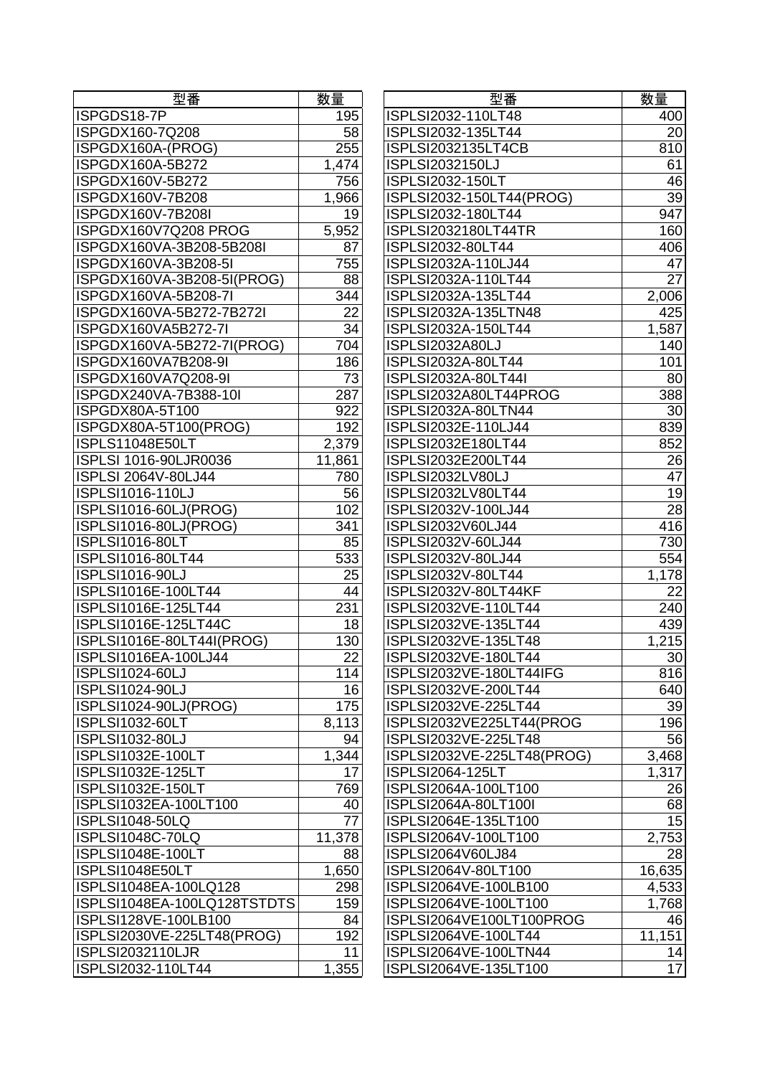| 型番                          | 数量     |
|-----------------------------|--------|
| ISPGDS18-7P                 | 195    |
| ISPGDX160-7Q208             | 58     |
| ISPGDX160A-(PROG)           | 255    |
| ISPGDX160A-5B272            | 1,474  |
| ISPGDX160V-5B272            | 756    |
| ISPGDX160V-7B208            | 1,966  |
| ISPGDX160V-7B208I           | 19     |
| ISPGDX160V7Q208 PROG        | 5,952  |
| ISPGDX160VA-3B208-5B208I    | 87     |
| ISPGDX160VA-3B208-5I        | 755    |
| ISPGDX160VA-3B208-5I(PROG)  | 88     |
| ISPGDX160VA-5B208-7I        | 344    |
| ISPGDX160VA-5B272-7B272I    | 22     |
| ISPGDX160VA5B272-7I         | 34     |
| ISPGDX160VA-5B272-7I(PROG)  | 704    |
|                             |        |
| ISPGDX160VA7B208-9I         | 186    |
| ISPGDX160VA7Q208-9I         | 73     |
| ISPGDX240VA-7B388-10I       | 287    |
| ISPGDX80A-5T100             | 922    |
| ISPGDX80A-5T100(PROG)       | 192    |
| <b>ISPLS11048E50LT</b>      | 2,379  |
| ISPLSI 1016-90LJR0036       | 11,861 |
| ISPLSI 2064V-80LJ44         | 780    |
| ISPLSI1016-110LJ            | 56     |
| ISPLSI1016-60LJ(PROG)       | 102    |
| ISPLSI1016-80LJ(PROG)       | 341    |
| <b>ISPLSI1016-80LT</b>      | 85     |
| ISPLSI1016-80LT44           | 533    |
| <b>ISPLSI1016-90LJ</b>      | 25     |
| ISPLSI1016E-100LT44         | 44     |
| ISPLSI1016E-125LT44         | 231    |
| ISPLSI1016E-125LT44C        | 18     |
| ISPLSI1016E-80LT44I(PROG)   | 130    |
| ISPLSI1016EA-100LJ44        | 22     |
| <b>ISPLSI1024-60LJ</b>      | 114    |
| ISPLSI1024-90LJ             | 16     |
| ISPLSI1024-90LJ(PROG)       | 175    |
| <b>ISPLSI1032-60LT</b>      | 8,113  |
| ISPLSI1032-80LJ             | 94     |
| ISPLSI1032E-100LT           | 1,344  |
| ISPLSI1032E-125LT           | 17     |
| ISPLSI1032E-150LT           | 769    |
| ISPLSI1032EA-100LT100       | 40     |
| ISPLSI1048-50LQ             | 77     |
| <b>ISPLSI1048C-70LQ</b>     | 11,378 |
| <b>ISPLSI1048E-100LT</b>    |        |
|                             | 88     |
| ISPLSI1048E50LT             | 1,650  |
| ISPLSI1048EA-100LQ128       | 298    |
| ISPLSI1048EA-100LQ128TSTDTS | 159    |
| ISPLSI128VE-100LB100        | 84     |
| ISPLSI2030VE-225LT48(PROG)  | 192    |
| <b>ISPLSI2032110LJR</b>     | 11     |
| ISPLSI2032-110LT44          | 1,355  |

| ISPLSI2032-110LT48<br>195<br>20<br>ISPGDX160-7Q208<br>58<br>ISPLSI2032-135LT44<br>255<br>ISPLSI2032135LT4CB<br>810<br>ISPLSI2032150LJ<br>61<br>1,474<br>ISPLSI2032-150LT<br>756<br>39<br>1,966<br>ISPLSI2032-150LT44(PROG)<br>947<br>ISPGDX160V-7B208I<br>19<br>ISPLSI2032-180LT44<br>5,952<br>160<br>ISPGDX160V7Q208 PROG<br>ISPLSI2032180LT44TR<br>406<br>87<br>ISPLSI2032-80LT44<br>755<br>47<br>ISPGDX160VA-3B208-5I<br>ISPLSI2032A-110LJ44<br>$\overline{27}$<br>ISPGDX160VA-3B208-5I(PROG)<br>88<br>ISPLSI2032A-110LT44<br>ISPGDX160VA-5B208-7I<br>344<br>ISPLSI2032A-135LT44<br>2,006<br>22<br>425<br>ISPGDX160VA-5B272-7B272I<br>ISPLSI2032A-135LTN48<br>34<br>ISPGDX160VA5B272-7I<br>ISPLSI2032A-150LT44<br>1,587<br>ISPGDX160VA-5B272-7I(PROG)<br>704<br>ISPLSI2032A80LJ<br>140<br>ISPGDX160VA7B208-9I<br>186<br>ISPLSI2032A-80LT44<br>101<br>73<br>ISPGDX160VA7Q208-9I<br>ISPLSI2032A-80LT44I<br>80<br>287<br>388<br>ISPGDX240VA-7B388-10I<br>ISPLSI2032A80LT44PROG<br>30<br>922<br>ISPGDX80A-5T100<br>ISPLSI2032A-80LTN44<br>839<br>ISPGDX80A-5T100(PROG)<br>192<br>ISPLSI2032E-110LJ44<br>2,379<br>852<br>ISPLS11048E50LT<br>ISPLSI2032E180LT44<br>26<br>ISPLSI 1016-90LJR0036<br>11,861<br>ISPLSI2032E200LT44<br>47<br><b>ISPLSI 2064V-80LJ44</b><br>780<br>ISPLSI2032LV80LJ<br>56<br>19<br><b>ISPLSI1016-110LJ</b><br>ISPLSI2032LV80LT44<br>28<br>ISPLSI1016-60LJ(PROG)<br>102<br>ISPLSI2032V-100LJ44<br>ISPLSI1016-80LJ(PROG)<br>341<br>ISPLSI2032V60LJ44<br>416<br><b>ISPLSI1016-80LT</b><br>85<br>ISPLSI2032V-60LJ44<br>730<br>ISPLSI1016-80LT44<br>533<br>ISPLSI2032V-80LJ44<br>554<br><b>ISPLSI1016-90LJ</b><br>ISPLSI2032V-80LT44<br>1,178<br>25<br>22<br>ISPLSI1016E-100LT44<br>44<br>ISPLSI2032V-80LT44KF<br>ISPLSI1016E-125LT44<br>231<br>ISPLSI2032VE-110LT44<br>240<br>ISPLSI1016E-125LT44C<br>ISPLSI2032VE-135LT44<br>439<br>18<br>ISPLSI1016E-80LT44I(PROG)<br>130<br>ISPLSI2032VE-135LT48<br>1,215<br>22<br>30<br>ISPLSI1016EA-100LJ44<br>ISPLSI2032VE-180LT44<br><b>ISPLSI1024-60LJ</b><br>ISPLSI2032VE-180LT44IFG<br>114<br>816<br><b>ISPLSI1024-90LJ</b><br>16<br>ISPLSI2032VE-200LT44<br>640<br>175<br>39<br>ISPLSI1024-90LJ(PROG)<br>ISPLSI2032VE-225LT44<br>196<br>ISPLSI1032-60LT<br>8,113<br>ISPLSI2032VE225LT44(PROG<br>56<br>94<br><b>ISPLSI1032-80LJ</b><br>ISPLSI2032VE-225LT48<br>ISPLSI1032E-100LT<br>3,468<br>1,344<br>ISPLSI2032VE-225LT48(PROG)<br>ISPLSI1032E-125LT<br>1,317<br>17<br>ISPLSI2064-125LT<br>769<br>26<br>ISPLSI1032E-150LT<br>ISPLSI2064A-100LT100<br>68<br>ISPLSI1032EA-100LT100<br>40<br>ISPLSI2064A-80LT100I<br>15<br>77<br>ISPLSI1048-50LQ<br>ISPLSI2064E-135LT100<br>11,378<br>2,753<br>ISPLSI1048C-70LQ<br>ISPLSI2064V-100LT100<br>28<br>88<br>ISPLSI2064V60LJ84<br>ISPLSI1048E-100LT<br>16,635<br>ISPLSI1048E50LT<br>1,650<br>ISPLSI2064V-80LT100<br>ISPLSI2064VE-100LB100<br>4,533<br>298<br>159<br>ISPLSI2064VE-100LT100<br>ISPLSI2064VE100LT100PROG<br>84<br>11,151<br>ISPLSI2030VE-225LT48(PROG)<br>192<br>ISPLSI2064VE-100LT44<br>11<br>ISPLSI2064VE-100LTN44<br>1,355<br>ISPLSI2064VE-135LT100 | 型番                          | 数量 | 型番 | 数量    |
|--------------------------------------------------------------------------------------------------------------------------------------------------------------------------------------------------------------------------------------------------------------------------------------------------------------------------------------------------------------------------------------------------------------------------------------------------------------------------------------------------------------------------------------------------------------------------------------------------------------------------------------------------------------------------------------------------------------------------------------------------------------------------------------------------------------------------------------------------------------------------------------------------------------------------------------------------------------------------------------------------------------------------------------------------------------------------------------------------------------------------------------------------------------------------------------------------------------------------------------------------------------------------------------------------------------------------------------------------------------------------------------------------------------------------------------------------------------------------------------------------------------------------------------------------------------------------------------------------------------------------------------------------------------------------------------------------------------------------------------------------------------------------------------------------------------------------------------------------------------------------------------------------------------------------------------------------------------------------------------------------------------------------------------------------------------------------------------------------------------------------------------------------------------------------------------------------------------------------------------------------------------------------------------------------------------------------------------------------------------------------------------------------------------------------------------------------------------------------------------------------------------------------------------------------------------------------------------------------------------------------------------------------------------------------------------------------------------------------------------------------------------------------------------------------------------------------------------------------------------------------------------------------------------------------------------------------------------------------------------------------------------------------------------------------------------------------|-----------------------------|----|----|-------|
|                                                                                                                                                                                                                                                                                                                                                                                                                                                                                                                                                                                                                                                                                                                                                                                                                                                                                                                                                                                                                                                                                                                                                                                                                                                                                                                                                                                                                                                                                                                                                                                                                                                                                                                                                                                                                                                                                                                                                                                                                                                                                                                                                                                                                                                                                                                                                                                                                                                                                                                                                                                                                                                                                                                                                                                                                                                                                                                                                                                                                                                                          | ISPGDS18-7P                 |    |    | 400   |
|                                                                                                                                                                                                                                                                                                                                                                                                                                                                                                                                                                                                                                                                                                                                                                                                                                                                                                                                                                                                                                                                                                                                                                                                                                                                                                                                                                                                                                                                                                                                                                                                                                                                                                                                                                                                                                                                                                                                                                                                                                                                                                                                                                                                                                                                                                                                                                                                                                                                                                                                                                                                                                                                                                                                                                                                                                                                                                                                                                                                                                                                          |                             |    |    |       |
|                                                                                                                                                                                                                                                                                                                                                                                                                                                                                                                                                                                                                                                                                                                                                                                                                                                                                                                                                                                                                                                                                                                                                                                                                                                                                                                                                                                                                                                                                                                                                                                                                                                                                                                                                                                                                                                                                                                                                                                                                                                                                                                                                                                                                                                                                                                                                                                                                                                                                                                                                                                                                                                                                                                                                                                                                                                                                                                                                                                                                                                                          | ISPGDX160A-(PROG)           |    |    |       |
|                                                                                                                                                                                                                                                                                                                                                                                                                                                                                                                                                                                                                                                                                                                                                                                                                                                                                                                                                                                                                                                                                                                                                                                                                                                                                                                                                                                                                                                                                                                                                                                                                                                                                                                                                                                                                                                                                                                                                                                                                                                                                                                                                                                                                                                                                                                                                                                                                                                                                                                                                                                                                                                                                                                                                                                                                                                                                                                                                                                                                                                                          | ISPGDX160A-5B272            |    |    |       |
|                                                                                                                                                                                                                                                                                                                                                                                                                                                                                                                                                                                                                                                                                                                                                                                                                                                                                                                                                                                                                                                                                                                                                                                                                                                                                                                                                                                                                                                                                                                                                                                                                                                                                                                                                                                                                                                                                                                                                                                                                                                                                                                                                                                                                                                                                                                                                                                                                                                                                                                                                                                                                                                                                                                                                                                                                                                                                                                                                                                                                                                                          | ISPGDX160V-5B272            |    |    | 46    |
|                                                                                                                                                                                                                                                                                                                                                                                                                                                                                                                                                                                                                                                                                                                                                                                                                                                                                                                                                                                                                                                                                                                                                                                                                                                                                                                                                                                                                                                                                                                                                                                                                                                                                                                                                                                                                                                                                                                                                                                                                                                                                                                                                                                                                                                                                                                                                                                                                                                                                                                                                                                                                                                                                                                                                                                                                                                                                                                                                                                                                                                                          | ISPGDX160V-7B208            |    |    |       |
|                                                                                                                                                                                                                                                                                                                                                                                                                                                                                                                                                                                                                                                                                                                                                                                                                                                                                                                                                                                                                                                                                                                                                                                                                                                                                                                                                                                                                                                                                                                                                                                                                                                                                                                                                                                                                                                                                                                                                                                                                                                                                                                                                                                                                                                                                                                                                                                                                                                                                                                                                                                                                                                                                                                                                                                                                                                                                                                                                                                                                                                                          |                             |    |    |       |
|                                                                                                                                                                                                                                                                                                                                                                                                                                                                                                                                                                                                                                                                                                                                                                                                                                                                                                                                                                                                                                                                                                                                                                                                                                                                                                                                                                                                                                                                                                                                                                                                                                                                                                                                                                                                                                                                                                                                                                                                                                                                                                                                                                                                                                                                                                                                                                                                                                                                                                                                                                                                                                                                                                                                                                                                                                                                                                                                                                                                                                                                          |                             |    |    |       |
|                                                                                                                                                                                                                                                                                                                                                                                                                                                                                                                                                                                                                                                                                                                                                                                                                                                                                                                                                                                                                                                                                                                                                                                                                                                                                                                                                                                                                                                                                                                                                                                                                                                                                                                                                                                                                                                                                                                                                                                                                                                                                                                                                                                                                                                                                                                                                                                                                                                                                                                                                                                                                                                                                                                                                                                                                                                                                                                                                                                                                                                                          | ISPGDX160VA-3B208-5B208I    |    |    |       |
|                                                                                                                                                                                                                                                                                                                                                                                                                                                                                                                                                                                                                                                                                                                                                                                                                                                                                                                                                                                                                                                                                                                                                                                                                                                                                                                                                                                                                                                                                                                                                                                                                                                                                                                                                                                                                                                                                                                                                                                                                                                                                                                                                                                                                                                                                                                                                                                                                                                                                                                                                                                                                                                                                                                                                                                                                                                                                                                                                                                                                                                                          |                             |    |    |       |
|                                                                                                                                                                                                                                                                                                                                                                                                                                                                                                                                                                                                                                                                                                                                                                                                                                                                                                                                                                                                                                                                                                                                                                                                                                                                                                                                                                                                                                                                                                                                                                                                                                                                                                                                                                                                                                                                                                                                                                                                                                                                                                                                                                                                                                                                                                                                                                                                                                                                                                                                                                                                                                                                                                                                                                                                                                                                                                                                                                                                                                                                          |                             |    |    |       |
|                                                                                                                                                                                                                                                                                                                                                                                                                                                                                                                                                                                                                                                                                                                                                                                                                                                                                                                                                                                                                                                                                                                                                                                                                                                                                                                                                                                                                                                                                                                                                                                                                                                                                                                                                                                                                                                                                                                                                                                                                                                                                                                                                                                                                                                                                                                                                                                                                                                                                                                                                                                                                                                                                                                                                                                                                                                                                                                                                                                                                                                                          |                             |    |    |       |
|                                                                                                                                                                                                                                                                                                                                                                                                                                                                                                                                                                                                                                                                                                                                                                                                                                                                                                                                                                                                                                                                                                                                                                                                                                                                                                                                                                                                                                                                                                                                                                                                                                                                                                                                                                                                                                                                                                                                                                                                                                                                                                                                                                                                                                                                                                                                                                                                                                                                                                                                                                                                                                                                                                                                                                                                                                                                                                                                                                                                                                                                          |                             |    |    |       |
|                                                                                                                                                                                                                                                                                                                                                                                                                                                                                                                                                                                                                                                                                                                                                                                                                                                                                                                                                                                                                                                                                                                                                                                                                                                                                                                                                                                                                                                                                                                                                                                                                                                                                                                                                                                                                                                                                                                                                                                                                                                                                                                                                                                                                                                                                                                                                                                                                                                                                                                                                                                                                                                                                                                                                                                                                                                                                                                                                                                                                                                                          |                             |    |    |       |
|                                                                                                                                                                                                                                                                                                                                                                                                                                                                                                                                                                                                                                                                                                                                                                                                                                                                                                                                                                                                                                                                                                                                                                                                                                                                                                                                                                                                                                                                                                                                                                                                                                                                                                                                                                                                                                                                                                                                                                                                                                                                                                                                                                                                                                                                                                                                                                                                                                                                                                                                                                                                                                                                                                                                                                                                                                                                                                                                                                                                                                                                          |                             |    |    |       |
|                                                                                                                                                                                                                                                                                                                                                                                                                                                                                                                                                                                                                                                                                                                                                                                                                                                                                                                                                                                                                                                                                                                                                                                                                                                                                                                                                                                                                                                                                                                                                                                                                                                                                                                                                                                                                                                                                                                                                                                                                                                                                                                                                                                                                                                                                                                                                                                                                                                                                                                                                                                                                                                                                                                                                                                                                                                                                                                                                                                                                                                                          |                             |    |    |       |
|                                                                                                                                                                                                                                                                                                                                                                                                                                                                                                                                                                                                                                                                                                                                                                                                                                                                                                                                                                                                                                                                                                                                                                                                                                                                                                                                                                                                                                                                                                                                                                                                                                                                                                                                                                                                                                                                                                                                                                                                                                                                                                                                                                                                                                                                                                                                                                                                                                                                                                                                                                                                                                                                                                                                                                                                                                                                                                                                                                                                                                                                          |                             |    |    |       |
|                                                                                                                                                                                                                                                                                                                                                                                                                                                                                                                                                                                                                                                                                                                                                                                                                                                                                                                                                                                                                                                                                                                                                                                                                                                                                                                                                                                                                                                                                                                                                                                                                                                                                                                                                                                                                                                                                                                                                                                                                                                                                                                                                                                                                                                                                                                                                                                                                                                                                                                                                                                                                                                                                                                                                                                                                                                                                                                                                                                                                                                                          |                             |    |    |       |
|                                                                                                                                                                                                                                                                                                                                                                                                                                                                                                                                                                                                                                                                                                                                                                                                                                                                                                                                                                                                                                                                                                                                                                                                                                                                                                                                                                                                                                                                                                                                                                                                                                                                                                                                                                                                                                                                                                                                                                                                                                                                                                                                                                                                                                                                                                                                                                                                                                                                                                                                                                                                                                                                                                                                                                                                                                                                                                                                                                                                                                                                          |                             |    |    |       |
|                                                                                                                                                                                                                                                                                                                                                                                                                                                                                                                                                                                                                                                                                                                                                                                                                                                                                                                                                                                                                                                                                                                                                                                                                                                                                                                                                                                                                                                                                                                                                                                                                                                                                                                                                                                                                                                                                                                                                                                                                                                                                                                                                                                                                                                                                                                                                                                                                                                                                                                                                                                                                                                                                                                                                                                                                                                                                                                                                                                                                                                                          |                             |    |    |       |
|                                                                                                                                                                                                                                                                                                                                                                                                                                                                                                                                                                                                                                                                                                                                                                                                                                                                                                                                                                                                                                                                                                                                                                                                                                                                                                                                                                                                                                                                                                                                                                                                                                                                                                                                                                                                                                                                                                                                                                                                                                                                                                                                                                                                                                                                                                                                                                                                                                                                                                                                                                                                                                                                                                                                                                                                                                                                                                                                                                                                                                                                          |                             |    |    |       |
|                                                                                                                                                                                                                                                                                                                                                                                                                                                                                                                                                                                                                                                                                                                                                                                                                                                                                                                                                                                                                                                                                                                                                                                                                                                                                                                                                                                                                                                                                                                                                                                                                                                                                                                                                                                                                                                                                                                                                                                                                                                                                                                                                                                                                                                                                                                                                                                                                                                                                                                                                                                                                                                                                                                                                                                                                                                                                                                                                                                                                                                                          |                             |    |    |       |
|                                                                                                                                                                                                                                                                                                                                                                                                                                                                                                                                                                                                                                                                                                                                                                                                                                                                                                                                                                                                                                                                                                                                                                                                                                                                                                                                                                                                                                                                                                                                                                                                                                                                                                                                                                                                                                                                                                                                                                                                                                                                                                                                                                                                                                                                                                                                                                                                                                                                                                                                                                                                                                                                                                                                                                                                                                                                                                                                                                                                                                                                          |                             |    |    |       |
|                                                                                                                                                                                                                                                                                                                                                                                                                                                                                                                                                                                                                                                                                                                                                                                                                                                                                                                                                                                                                                                                                                                                                                                                                                                                                                                                                                                                                                                                                                                                                                                                                                                                                                                                                                                                                                                                                                                                                                                                                                                                                                                                                                                                                                                                                                                                                                                                                                                                                                                                                                                                                                                                                                                                                                                                                                                                                                                                                                                                                                                                          |                             |    |    |       |
|                                                                                                                                                                                                                                                                                                                                                                                                                                                                                                                                                                                                                                                                                                                                                                                                                                                                                                                                                                                                                                                                                                                                                                                                                                                                                                                                                                                                                                                                                                                                                                                                                                                                                                                                                                                                                                                                                                                                                                                                                                                                                                                                                                                                                                                                                                                                                                                                                                                                                                                                                                                                                                                                                                                                                                                                                                                                                                                                                                                                                                                                          |                             |    |    |       |
|                                                                                                                                                                                                                                                                                                                                                                                                                                                                                                                                                                                                                                                                                                                                                                                                                                                                                                                                                                                                                                                                                                                                                                                                                                                                                                                                                                                                                                                                                                                                                                                                                                                                                                                                                                                                                                                                                                                                                                                                                                                                                                                                                                                                                                                                                                                                                                                                                                                                                                                                                                                                                                                                                                                                                                                                                                                                                                                                                                                                                                                                          |                             |    |    |       |
|                                                                                                                                                                                                                                                                                                                                                                                                                                                                                                                                                                                                                                                                                                                                                                                                                                                                                                                                                                                                                                                                                                                                                                                                                                                                                                                                                                                                                                                                                                                                                                                                                                                                                                                                                                                                                                                                                                                                                                                                                                                                                                                                                                                                                                                                                                                                                                                                                                                                                                                                                                                                                                                                                                                                                                                                                                                                                                                                                                                                                                                                          |                             |    |    |       |
|                                                                                                                                                                                                                                                                                                                                                                                                                                                                                                                                                                                                                                                                                                                                                                                                                                                                                                                                                                                                                                                                                                                                                                                                                                                                                                                                                                                                                                                                                                                                                                                                                                                                                                                                                                                                                                                                                                                                                                                                                                                                                                                                                                                                                                                                                                                                                                                                                                                                                                                                                                                                                                                                                                                                                                                                                                                                                                                                                                                                                                                                          |                             |    |    |       |
|                                                                                                                                                                                                                                                                                                                                                                                                                                                                                                                                                                                                                                                                                                                                                                                                                                                                                                                                                                                                                                                                                                                                                                                                                                                                                                                                                                                                                                                                                                                                                                                                                                                                                                                                                                                                                                                                                                                                                                                                                                                                                                                                                                                                                                                                                                                                                                                                                                                                                                                                                                                                                                                                                                                                                                                                                                                                                                                                                                                                                                                                          |                             |    |    |       |
|                                                                                                                                                                                                                                                                                                                                                                                                                                                                                                                                                                                                                                                                                                                                                                                                                                                                                                                                                                                                                                                                                                                                                                                                                                                                                                                                                                                                                                                                                                                                                                                                                                                                                                                                                                                                                                                                                                                                                                                                                                                                                                                                                                                                                                                                                                                                                                                                                                                                                                                                                                                                                                                                                                                                                                                                                                                                                                                                                                                                                                                                          |                             |    |    |       |
|                                                                                                                                                                                                                                                                                                                                                                                                                                                                                                                                                                                                                                                                                                                                                                                                                                                                                                                                                                                                                                                                                                                                                                                                                                                                                                                                                                                                                                                                                                                                                                                                                                                                                                                                                                                                                                                                                                                                                                                                                                                                                                                                                                                                                                                                                                                                                                                                                                                                                                                                                                                                                                                                                                                                                                                                                                                                                                                                                                                                                                                                          |                             |    |    |       |
|                                                                                                                                                                                                                                                                                                                                                                                                                                                                                                                                                                                                                                                                                                                                                                                                                                                                                                                                                                                                                                                                                                                                                                                                                                                                                                                                                                                                                                                                                                                                                                                                                                                                                                                                                                                                                                                                                                                                                                                                                                                                                                                                                                                                                                                                                                                                                                                                                                                                                                                                                                                                                                                                                                                                                                                                                                                                                                                                                                                                                                                                          |                             |    |    |       |
|                                                                                                                                                                                                                                                                                                                                                                                                                                                                                                                                                                                                                                                                                                                                                                                                                                                                                                                                                                                                                                                                                                                                                                                                                                                                                                                                                                                                                                                                                                                                                                                                                                                                                                                                                                                                                                                                                                                                                                                                                                                                                                                                                                                                                                                                                                                                                                                                                                                                                                                                                                                                                                                                                                                                                                                                                                                                                                                                                                                                                                                                          |                             |    |    |       |
|                                                                                                                                                                                                                                                                                                                                                                                                                                                                                                                                                                                                                                                                                                                                                                                                                                                                                                                                                                                                                                                                                                                                                                                                                                                                                                                                                                                                                                                                                                                                                                                                                                                                                                                                                                                                                                                                                                                                                                                                                                                                                                                                                                                                                                                                                                                                                                                                                                                                                                                                                                                                                                                                                                                                                                                                                                                                                                                                                                                                                                                                          |                             |    |    |       |
|                                                                                                                                                                                                                                                                                                                                                                                                                                                                                                                                                                                                                                                                                                                                                                                                                                                                                                                                                                                                                                                                                                                                                                                                                                                                                                                                                                                                                                                                                                                                                                                                                                                                                                                                                                                                                                                                                                                                                                                                                                                                                                                                                                                                                                                                                                                                                                                                                                                                                                                                                                                                                                                                                                                                                                                                                                                                                                                                                                                                                                                                          |                             |    |    |       |
|                                                                                                                                                                                                                                                                                                                                                                                                                                                                                                                                                                                                                                                                                                                                                                                                                                                                                                                                                                                                                                                                                                                                                                                                                                                                                                                                                                                                                                                                                                                                                                                                                                                                                                                                                                                                                                                                                                                                                                                                                                                                                                                                                                                                                                                                                                                                                                                                                                                                                                                                                                                                                                                                                                                                                                                                                                                                                                                                                                                                                                                                          |                             |    |    |       |
|                                                                                                                                                                                                                                                                                                                                                                                                                                                                                                                                                                                                                                                                                                                                                                                                                                                                                                                                                                                                                                                                                                                                                                                                                                                                                                                                                                                                                                                                                                                                                                                                                                                                                                                                                                                                                                                                                                                                                                                                                                                                                                                                                                                                                                                                                                                                                                                                                                                                                                                                                                                                                                                                                                                                                                                                                                                                                                                                                                                                                                                                          |                             |    |    |       |
|                                                                                                                                                                                                                                                                                                                                                                                                                                                                                                                                                                                                                                                                                                                                                                                                                                                                                                                                                                                                                                                                                                                                                                                                                                                                                                                                                                                                                                                                                                                                                                                                                                                                                                                                                                                                                                                                                                                                                                                                                                                                                                                                                                                                                                                                                                                                                                                                                                                                                                                                                                                                                                                                                                                                                                                                                                                                                                                                                                                                                                                                          |                             |    |    |       |
|                                                                                                                                                                                                                                                                                                                                                                                                                                                                                                                                                                                                                                                                                                                                                                                                                                                                                                                                                                                                                                                                                                                                                                                                                                                                                                                                                                                                                                                                                                                                                                                                                                                                                                                                                                                                                                                                                                                                                                                                                                                                                                                                                                                                                                                                                                                                                                                                                                                                                                                                                                                                                                                                                                                                                                                                                                                                                                                                                                                                                                                                          |                             |    |    |       |
|                                                                                                                                                                                                                                                                                                                                                                                                                                                                                                                                                                                                                                                                                                                                                                                                                                                                                                                                                                                                                                                                                                                                                                                                                                                                                                                                                                                                                                                                                                                                                                                                                                                                                                                                                                                                                                                                                                                                                                                                                                                                                                                                                                                                                                                                                                                                                                                                                                                                                                                                                                                                                                                                                                                                                                                                                                                                                                                                                                                                                                                                          |                             |    |    |       |
|                                                                                                                                                                                                                                                                                                                                                                                                                                                                                                                                                                                                                                                                                                                                                                                                                                                                                                                                                                                                                                                                                                                                                                                                                                                                                                                                                                                                                                                                                                                                                                                                                                                                                                                                                                                                                                                                                                                                                                                                                                                                                                                                                                                                                                                                                                                                                                                                                                                                                                                                                                                                                                                                                                                                                                                                                                                                                                                                                                                                                                                                          |                             |    |    |       |
|                                                                                                                                                                                                                                                                                                                                                                                                                                                                                                                                                                                                                                                                                                                                                                                                                                                                                                                                                                                                                                                                                                                                                                                                                                                                                                                                                                                                                                                                                                                                                                                                                                                                                                                                                                                                                                                                                                                                                                                                                                                                                                                                                                                                                                                                                                                                                                                                                                                                                                                                                                                                                                                                                                                                                                                                                                                                                                                                                                                                                                                                          |                             |    |    |       |
|                                                                                                                                                                                                                                                                                                                                                                                                                                                                                                                                                                                                                                                                                                                                                                                                                                                                                                                                                                                                                                                                                                                                                                                                                                                                                                                                                                                                                                                                                                                                                                                                                                                                                                                                                                                                                                                                                                                                                                                                                                                                                                                                                                                                                                                                                                                                                                                                                                                                                                                                                                                                                                                                                                                                                                                                                                                                                                                                                                                                                                                                          |                             |    |    |       |
|                                                                                                                                                                                                                                                                                                                                                                                                                                                                                                                                                                                                                                                                                                                                                                                                                                                                                                                                                                                                                                                                                                                                                                                                                                                                                                                                                                                                                                                                                                                                                                                                                                                                                                                                                                                                                                                                                                                                                                                                                                                                                                                                                                                                                                                                                                                                                                                                                                                                                                                                                                                                                                                                                                                                                                                                                                                                                                                                                                                                                                                                          |                             |    |    |       |
|                                                                                                                                                                                                                                                                                                                                                                                                                                                                                                                                                                                                                                                                                                                                                                                                                                                                                                                                                                                                                                                                                                                                                                                                                                                                                                                                                                                                                                                                                                                                                                                                                                                                                                                                                                                                                                                                                                                                                                                                                                                                                                                                                                                                                                                                                                                                                                                                                                                                                                                                                                                                                                                                                                                                                                                                                                                                                                                                                                                                                                                                          |                             |    |    |       |
|                                                                                                                                                                                                                                                                                                                                                                                                                                                                                                                                                                                                                                                                                                                                                                                                                                                                                                                                                                                                                                                                                                                                                                                                                                                                                                                                                                                                                                                                                                                                                                                                                                                                                                                                                                                                                                                                                                                                                                                                                                                                                                                                                                                                                                                                                                                                                                                                                                                                                                                                                                                                                                                                                                                                                                                                                                                                                                                                                                                                                                                                          |                             |    |    |       |
|                                                                                                                                                                                                                                                                                                                                                                                                                                                                                                                                                                                                                                                                                                                                                                                                                                                                                                                                                                                                                                                                                                                                                                                                                                                                                                                                                                                                                                                                                                                                                                                                                                                                                                                                                                                                                                                                                                                                                                                                                                                                                                                                                                                                                                                                                                                                                                                                                                                                                                                                                                                                                                                                                                                                                                                                                                                                                                                                                                                                                                                                          |                             |    |    |       |
|                                                                                                                                                                                                                                                                                                                                                                                                                                                                                                                                                                                                                                                                                                                                                                                                                                                                                                                                                                                                                                                                                                                                                                                                                                                                                                                                                                                                                                                                                                                                                                                                                                                                                                                                                                                                                                                                                                                                                                                                                                                                                                                                                                                                                                                                                                                                                                                                                                                                                                                                                                                                                                                                                                                                                                                                                                                                                                                                                                                                                                                                          |                             |    |    |       |
|                                                                                                                                                                                                                                                                                                                                                                                                                                                                                                                                                                                                                                                                                                                                                                                                                                                                                                                                                                                                                                                                                                                                                                                                                                                                                                                                                                                                                                                                                                                                                                                                                                                                                                                                                                                                                                                                                                                                                                                                                                                                                                                                                                                                                                                                                                                                                                                                                                                                                                                                                                                                                                                                                                                                                                                                                                                                                                                                                                                                                                                                          | ISPLSI1048EA-100LQ128       |    |    |       |
|                                                                                                                                                                                                                                                                                                                                                                                                                                                                                                                                                                                                                                                                                                                                                                                                                                                                                                                                                                                                                                                                                                                                                                                                                                                                                                                                                                                                                                                                                                                                                                                                                                                                                                                                                                                                                                                                                                                                                                                                                                                                                                                                                                                                                                                                                                                                                                                                                                                                                                                                                                                                                                                                                                                                                                                                                                                                                                                                                                                                                                                                          | ISPLSI1048EA-100LQ128TSTDTS |    |    | 1,768 |
|                                                                                                                                                                                                                                                                                                                                                                                                                                                                                                                                                                                                                                                                                                                                                                                                                                                                                                                                                                                                                                                                                                                                                                                                                                                                                                                                                                                                                                                                                                                                                                                                                                                                                                                                                                                                                                                                                                                                                                                                                                                                                                                                                                                                                                                                                                                                                                                                                                                                                                                                                                                                                                                                                                                                                                                                                                                                                                                                                                                                                                                                          | ISPLSI128VE-100LB100        |    |    | 46    |
|                                                                                                                                                                                                                                                                                                                                                                                                                                                                                                                                                                                                                                                                                                                                                                                                                                                                                                                                                                                                                                                                                                                                                                                                                                                                                                                                                                                                                                                                                                                                                                                                                                                                                                                                                                                                                                                                                                                                                                                                                                                                                                                                                                                                                                                                                                                                                                                                                                                                                                                                                                                                                                                                                                                                                                                                                                                                                                                                                                                                                                                                          |                             |    |    |       |
|                                                                                                                                                                                                                                                                                                                                                                                                                                                                                                                                                                                                                                                                                                                                                                                                                                                                                                                                                                                                                                                                                                                                                                                                                                                                                                                                                                                                                                                                                                                                                                                                                                                                                                                                                                                                                                                                                                                                                                                                                                                                                                                                                                                                                                                                                                                                                                                                                                                                                                                                                                                                                                                                                                                                                                                                                                                                                                                                                                                                                                                                          | ISPLSI2032110LJR            |    |    | 14    |
|                                                                                                                                                                                                                                                                                                                                                                                                                                                                                                                                                                                                                                                                                                                                                                                                                                                                                                                                                                                                                                                                                                                                                                                                                                                                                                                                                                                                                                                                                                                                                                                                                                                                                                                                                                                                                                                                                                                                                                                                                                                                                                                                                                                                                                                                                                                                                                                                                                                                                                                                                                                                                                                                                                                                                                                                                                                                                                                                                                                                                                                                          | ISPLSI2032-110LT44          |    |    | 17    |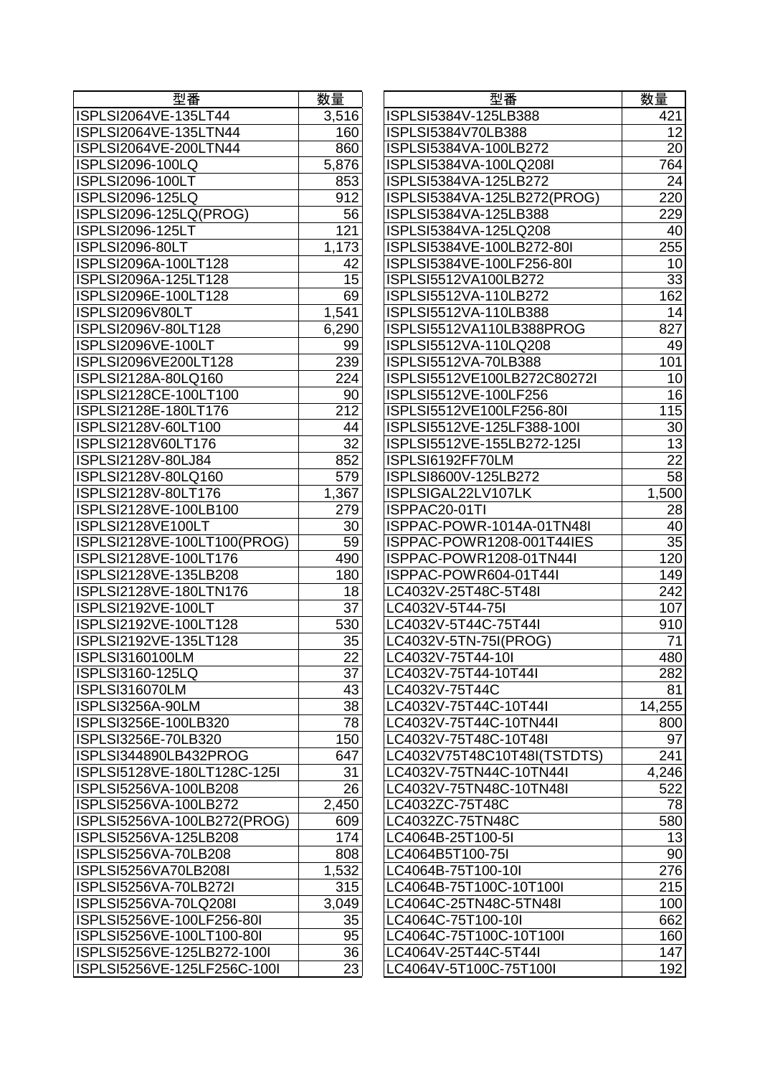| 型番                          | 数量    |
|-----------------------------|-------|
| ISPLSI2064VE-135LT44        | 3,516 |
| ISPLSI2064VE-135LTN44       | 160   |
| ISPLSI2064VE-200LTN44       | 860   |
| ISPLSI2096-100LQ            | 5,876 |
| <b>ISPLSI2096-100LT</b>     | 853   |
| ISPLSI2096-125LQ            | 912   |
| ISPLSI2096-125LQ(PROG)      | 56    |
| <b>ISPLSI2096-125LT</b>     | 121   |
| ISPLSI2096-80LT             | 1,173 |
| ISPLSI2096A-100LT128        | 42    |
| ISPLSI2096A-125LT128        | 15    |
| ISPLSI2096E-100LT128        | 69    |
| ISPLSI2096V80LT             | 1,541 |
| ISPLSI2096V-80LT128         | 6,290 |
| ISPLSI2096VE-100LT          | 99    |
| ISPLSI2096VE200LT128        | 239   |
| ISPLSI2128A-80LQ160         | 224   |
| ISPLSI2128CE-100LT100       | 90    |
| ISPLSI2128E-180LT176        | 212   |
| ISPLSI2128V-60LT100         | 44    |
| ISPLSI2128V60LT176          | 32    |
| ISPLSI2128V-80LJ84          | 852   |
| ISPLSI2128V-80LQ160         | 579   |
| ISPLSI2128V-80LT176         | 1,367 |
| ISPLSI2128VE-100LB100       | 279   |
| ISPLSI2128VE100LT           | 30    |
| ISPLSI2128VE-100LT100(PROG) | 59    |
| ISPLSI2128VE-100LT176       | 490   |
| ISPLSI2128VE-135LB208       | 180   |
| ISPLSI2128VE-180LTN176      | 18    |
| <b>ISPLSI2192VE-100LT</b>   | 37    |
| ISPLSI2192VE-100LT128       | 530   |
| ISPLSI2192VE-135LT128       | 35    |
| ISPLSI3160100LM             | 22    |
| ISPLSI3160-125LQ            | 37    |
| ISPLSI316070LM              | 43    |
| ISPLSI3256A-90LM            | 38    |
| ISPLSI3256E-100LB320        | 78    |
| ISPLSI3256E-70LB320         | 150   |
| ISPLSI344890LB432PROG       | 647   |
| ISPLSI5128VE-180LT128C-125I | 31    |
| ISPLSI5256VA-100LB208       | 26    |
| ISPLSI5256VA-100LB272       | 2,450 |
| ISPLSI5256VA-100LB272(PROG) | 609   |
| ISPLSI5256VA-125LB208       | 174   |
| ISPLSI5256VA-70LB208        | 808   |
| ISPLSI5256VA70LB208I        | 1,532 |
| ISPLSI5256VA-70LB272I       | 315   |
| ISPLSI5256VA-70LQ208I       | 3,049 |
| ISPLSI5256VE-100LF256-80I   | 35    |
| ISPLSI5256VE-100LT100-80I   | 95    |
| ISPLSI5256VE-125LB272-100I  | 36    |
|                             |       |
| ISPLSI5256VE-125LF256C-100I | 23    |

| 型番                                             | 数量       | 型番                                                | 数量              |
|------------------------------------------------|----------|---------------------------------------------------|-----------------|
| ISPLSI2064VE-135LT44                           | 3,516    | ISPLSI5384V-125LB388                              | 421             |
| ISPLSI2064VE-135LTN44                          | 160      | ISPLSI5384V70LB388                                | 12              |
| ISPLSI2064VE-200LTN44                          | 860      | ISPLSI5384VA-100LB272                             | 20              |
| <b>ISPLSI2096-100LQ</b>                        | 5,876    | ISPLSI5384VA-100LQ208I                            | 764             |
| <b>ISPLSI2096-100LT</b>                        | 853      | ISPLSI5384VA-125LB272                             | 24              |
| <b>ISPLSI2096-125LQ</b>                        | 912      | ISPLSI5384VA-125LB272(PROG)                       | 220             |
| ISPLSI2096-125LQ(PROG)                         | 56       | ISPLSI5384VA-125LB388                             | 229             |
| <b>ISPLSI2096-125LT</b>                        | 121      | ISPLSI5384VA-125LQ208                             | 40              |
| ISPLSI2096-80LT                                | 1,173    | ISPLSI5384VE-100LB272-80I                         | 255             |
| ISPLSI2096A-100LT128                           | 42       | ISPLSI5384VE-100LF256-80I                         | 10              |
| ISPLSI2096A-125LT128                           | 15       | ISPLSI5512VA100LB272                              | $\overline{33}$ |
| ISPLSI2096E-100LT128                           | 69       | ISPLSI5512VA-110LB272                             | 162             |
| ISPLSI2096V80LT                                | 1,541    | ISPLSI5512VA-110LB388                             | 14              |
| ISPLSI2096V-80LT128                            | 6,290    | ISPLSI5512VA110LB388PROG                          | 827             |
| ISPLSI2096VE-100LT                             | 99       | ISPLSI5512VA-110LQ208                             | 49              |
| ISPLSI2096VE200LT128                           | 239      | ISPLSI5512VA-70LB388                              | 101             |
| ISPLSI2128A-80LQ160                            | 224      | ISPLSI5512VE100LB272C80272I                       | 10              |
| ISPLSI2128CE-100LT100                          | 90       | ISPLSI5512VE-100LF256                             | 16              |
| ISPLSI2128E-180LT176                           | 212      | ISPLSI5512VE100LF256-80I                          | 115             |
| ISPLSI2128V-60LT100                            | 44       | ISPLSI5512VE-125LF388-100I                        | 30              |
| ISPLSI2128V60LT176                             | 32       | ISPLSI5512VE-155LB272-125I                        | 13              |
| ISPLSI2128V-80LJ84                             | 852      | ISPLSI6192FF70LM                                  | $\overline{22}$ |
| ISPLSI2128V-80LQ160                            | 579      | ISPLSI8600V-125LB272                              | 58              |
| ISPLSI2128V-80LT176                            | 1,367    | ISPLSIGAL22LV107LK                                | 1,500           |
| ISPLSI2128VE-100LB100                          | 279      | ISPPAC20-01TI                                     | 28              |
| ISPLSI2128VE100LT                              | 30       | ISPPAC-POWR-1014A-01TN48I                         | 40              |
| ISPLSI2128VE-100LT100(PROG)                    | 59       | ISPPAC-POWR1208-001T44IES                         | $\overline{35}$ |
| ISPLSI2128VE-100LT176                          | 490      | ISPPAC-POWR1208-01TN44I                           | 120             |
| ISPLSI2128VE-135LB208                          | 180      | ISPPAC-POWR604-01T44I                             | 149             |
| ISPLSI2128VE-180LTN176                         | 18       | LC4032V-25T48C-5T48I                              | 242             |
| ISPLSI2192VE-100LT                             | 37       | LC4032V-5T44-75I                                  | 107             |
| ISPLSI2192VE-100LT128                          | 530      | LC4032V-5T44C-75T44I                              | 910             |
| ISPLSI2192VE-135LT128                          | 35       | LC4032V-5TN-75I(PROG)                             | 71              |
| <b>ISPLSI3160100LM</b>                         | 22       | LC4032V-75T44-10I                                 | 480             |
| ISPLSI3160-125LQ                               | 37       | LC4032V-75T44-10T44I                              | 282             |
| ISPLSI316070LM                                 | 43       | LC4032V-75T44C                                    | 81              |
| ISPLSI3256A-90LM                               | 38       | LC4032V-75T44C-10T44I                             | 14,255          |
| ISPLSI3256E-100LB320                           | 78       | LC4032V-75T44C-10TN44I                            | 800             |
| ISPLSI3256E-70LB320                            | 150      | LC4032V-75T48C-10T48I                             | 97              |
| ISPLSI344890LB432PROG                          | 647      | LC4032V75T48C10T48I(TSTDTS)                       | 241             |
| ISPLSI5128VE-180LT128C-125I                    | 31       | LC4032V-75TN44C-10TN44I                           | 4,246           |
| ISPLSI5256VA-100LB208                          | 26       | LC4032V-75TN48C-10TN48I                           | 522             |
| ISPLSI5256VA-100LB272                          | 2,450    | LC4032ZC-75T48C                                   | 78              |
| ISPLSI5256VA-100LB272(PROG)                    | 609      | LC4032ZC-75TN48C                                  | 580             |
| ISPLSI5256VA-125LB208                          | 174      | LC4064B-25T100-5I                                 | 13              |
| ISPLSI5256VA-70LB208                           | 808      | LC4064B5T100-75I                                  | 90<br>276       |
| ISPLSI5256VA70LB208I                           | 1,532    | LC4064B-75T100-10I                                |                 |
| ISPLSI5256VA-70LB272I<br>ISPLSI5256VA-70LQ208I | 315      | LC4064B-75T100C-10T100I<br>LC4064C-25TN48C-5TN48I | 215             |
| ISPLSI5256VE-100LF256-80I                      | 3,049    | LC4064C-75T100-10I                                | 100<br>662      |
| ISPLSI5256VE-100LT100-80I                      | 35<br>95 | LC4064C-75T100C-10T100I                           | 160             |
|                                                | 36       | LC4064V-25T44C-5T44I                              |                 |
| ISPLSI5256VE-125LB272-100I                     |          |                                                   | 147             |
| ISPLSI5256VE-125LF256C-100I                    | 23       | LC4064V-5T100C-75T100I                            | 192             |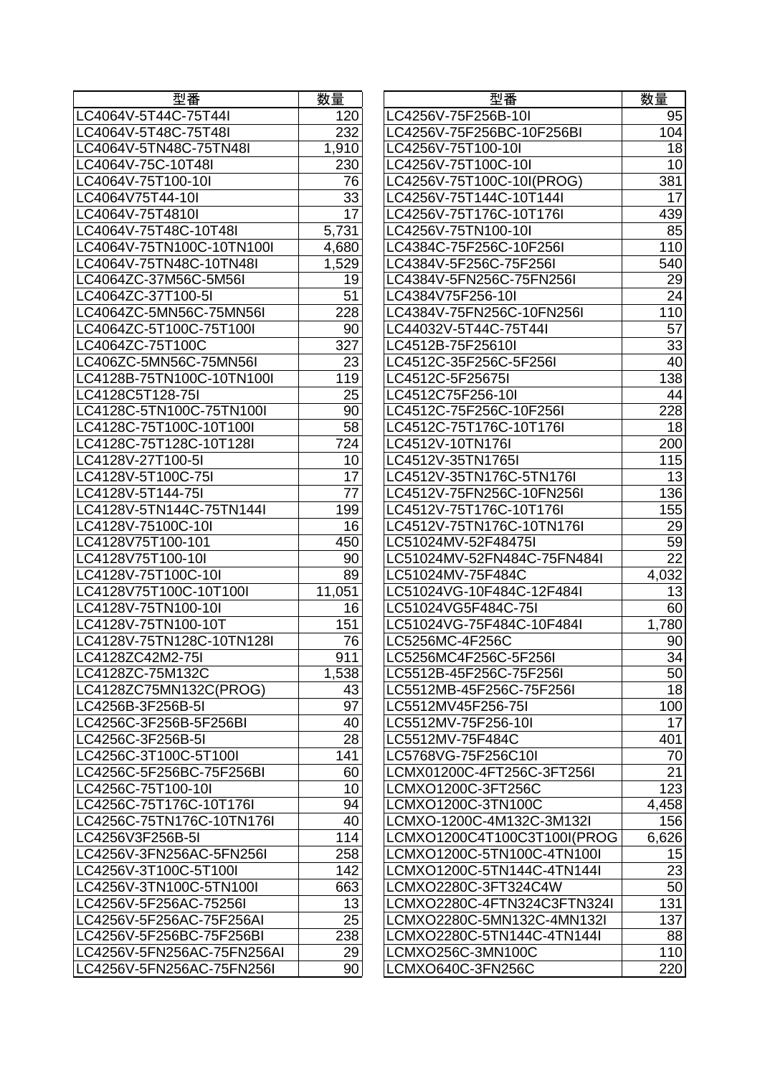| 型番                         | 数量     |
|----------------------------|--------|
| LC4064V-5T44C-75T44I       | 120    |
| LC4064V-5T48C-75T48I       | 232    |
| LC4064V-5TN48C-75TN48I     | 1,910  |
| LC4064V-75C-10T48I         | 230    |
| LC4064V-75T100-10I         | 76     |
| LC4064V75T44-10I           | 33     |
| LC4064V-75T4810I           | 17     |
| LC4064V-75T48C-10T48I      | 5,731  |
| LC4064V-75TN100C-10TN100I  | 4,680  |
| LC4064V-75TN48C-10TN48I    | 1,529  |
| LC4064ZC-37M56C-5M56I      | 19     |
| LC4064ZC-37T100-5I         | 51     |
| LC4064ZC-5MN56C-75MN56I    | 228    |
| LC4064ZC-5T100C-75T100I    | 90     |
| LC4064ZC-75T100C           | 327    |
| LC406ZC-5MN56C-75MN56I     | 23     |
| LC4128B-75TN100C-10TN100I  | 119    |
| LC4128C5T128-75I           | 25     |
| LC4128C-5TN100C-75TN100I   | 90     |
| LC4128C-75T100C-10T100I    | 58     |
| LC4128C-75T128C-10T128I    | 724    |
|                            |        |
| LC4128V-27T100-5I          | 10     |
| LC4128V-5T100C-75I         | 17     |
| LC4128V-5T144-75I          | 77     |
| LC4128V-5TN144C-75TN144I   | 199    |
| LC4128V-75100C-10I         | 16     |
| LC4128V75T100-101          | 450    |
| LC4128V75T100-10I          | 90     |
| LC4128V-75T100C-10I        | 89     |
| LC4128V75T100C-10T100I     | 11,051 |
| LC4128V-75TN100-10I        | 16     |
| LC4128V-75TN100-10T        | 151    |
| LC4128V-75TN128C-10TN128I  | 76     |
| LC4128ZC42M2-75I           | 911    |
| LC4128ZC-75M132C           | 1,538  |
| LC4128ZC75MN132C(PROG)     | 43     |
| LC4256B-3F256B-5I          | 97     |
| LC4256C-3F256B-5F256BI     | 40     |
| LC4256C-3F256B-5I          | 28     |
| LC4256C-3T100C-5T100I      | 141    |
| LC4256C-5F256BC-75F256BI   | 60     |
| LC4256C-75T100-10I         | 10     |
| LC4256C-75T176C-10T176I    | 94     |
| LC4256C-75TN176C-10TN176I  | 40     |
| LC4256V3F256B-5I           | 114    |
| LC4256V-3FN256AC-5FN256I   | 258    |
| LC4256V-3T100C-5T100I      | 142    |
| LC4256V-3TN100C-5TN100I    | 663    |
| LC4256V-5F256AC-75256I     | 13     |
| LC4256V-5F256AC-75F256AI   | 25     |
| LC4256V-5F256BC-75F256BI   | 238    |
| LC4256V-5FN256AC-75FN256AI | 29     |
| LC4256V-5FN256AC-75FN256I  | 90     |

| LC4064V-5T44C-75T44I<br>LC4256V-75F256B-10I<br>120<br>232<br>LC4256V-75F256BC-10F256BI<br>1,910<br>LC4256V-75T100-10I<br>LC4256V-75T100C-10I<br>230<br>76<br>LC4256V-75T100C-10I(PROG)<br>33<br>LC4256V-75T144C-10T144I<br>$\overline{17}$<br>LC4256V-75T176C-10T176I<br>5,731<br>LC4256V-75TN100-10I<br>LC4384C-75F256C-10F256I<br>4,680<br>1,529<br>LC4384V-5F256C-75F256I<br>LC4384V-5FN256C-75FN256I<br>19<br>51<br>LC4384V75F256-10I | 95<br>104<br>18<br>10<br>381<br>17<br>439<br>85<br>110<br>540<br>29<br>24<br>110<br>57<br>$\overline{33}$<br>40 |
|-------------------------------------------------------------------------------------------------------------------------------------------------------------------------------------------------------------------------------------------------------------------------------------------------------------------------------------------------------------------------------------------------------------------------------------------|-----------------------------------------------------------------------------------------------------------------|
| LC4064V-5T48C-75T48I<br>LC4064V-5TN48C-75TN48I<br>LC4064V-75C-10T48I<br>LC4064V-75T100-10I<br>LC4064V75T44-10I                                                                                                                                                                                                                                                                                                                            |                                                                                                                 |
|                                                                                                                                                                                                                                                                                                                                                                                                                                           |                                                                                                                 |
|                                                                                                                                                                                                                                                                                                                                                                                                                                           |                                                                                                                 |
|                                                                                                                                                                                                                                                                                                                                                                                                                                           |                                                                                                                 |
|                                                                                                                                                                                                                                                                                                                                                                                                                                           |                                                                                                                 |
| LC4064V-75T4810I<br>LC4064V-75T48C-10T48I<br>LC4064V-75TN100C-10TN100I<br>LC4064V-75TN48C-10TN48I<br>LC4064ZC-37M56C-5M56I<br>LC4064ZC-37T100-5I                                                                                                                                                                                                                                                                                          |                                                                                                                 |
|                                                                                                                                                                                                                                                                                                                                                                                                                                           |                                                                                                                 |
|                                                                                                                                                                                                                                                                                                                                                                                                                                           |                                                                                                                 |
|                                                                                                                                                                                                                                                                                                                                                                                                                                           |                                                                                                                 |
|                                                                                                                                                                                                                                                                                                                                                                                                                                           |                                                                                                                 |
|                                                                                                                                                                                                                                                                                                                                                                                                                                           |                                                                                                                 |
|                                                                                                                                                                                                                                                                                                                                                                                                                                           |                                                                                                                 |
| 228<br>LC4384V-75FN256C-10FN256I<br>LC4064ZC-5MN56C-75MN56I                                                                                                                                                                                                                                                                                                                                                                               |                                                                                                                 |
| LC4064ZC-5T100C-75T100I<br>90<br>LC44032V-5T44C-75T44I                                                                                                                                                                                                                                                                                                                                                                                    |                                                                                                                 |
| 327<br>LC4064ZC-75T100C<br>LC4512B-75F25610I                                                                                                                                                                                                                                                                                                                                                                                              |                                                                                                                 |
| LC406ZC-5MN56C-75MN56I<br>23<br>LC4512C-35F256C-5F256I                                                                                                                                                                                                                                                                                                                                                                                    |                                                                                                                 |
| LC4128B-75TN100C-10TN100I<br>LC4512C-5F25675I<br>119                                                                                                                                                                                                                                                                                                                                                                                      | 138                                                                                                             |
| LC4128C5T128-75I<br>25<br>LC4512C75F256-10I                                                                                                                                                                                                                                                                                                                                                                                               | 44                                                                                                              |
| LC4128C-5TN100C-75TN100I<br>90<br>LC4512C-75F256C-10F256I                                                                                                                                                                                                                                                                                                                                                                                 | 228                                                                                                             |
| LC4128C-75T100C-10T100I<br>58<br>LC4512C-75T176C-10T176I                                                                                                                                                                                                                                                                                                                                                                                  | 18                                                                                                              |
| 724<br>LC4128C-75T128C-10T128I<br>LC4512V-10TN176I                                                                                                                                                                                                                                                                                                                                                                                        | 200                                                                                                             |
| LC4512V-35TN1765I<br>LC4128V-27T100-5I<br>10                                                                                                                                                                                                                                                                                                                                                                                              | 115                                                                                                             |
| 17<br>LC4128V-5T100C-75I<br>LC4512V-35TN176C-5TN176I                                                                                                                                                                                                                                                                                                                                                                                      | 13                                                                                                              |
| 77<br>LC4128V-5T144-75I<br>LC4512V-75FN256C-10FN256I                                                                                                                                                                                                                                                                                                                                                                                      | 136                                                                                                             |
| LC4128V-5TN144C-75TN144I<br>199<br>LC4512V-75T176C-10T176I                                                                                                                                                                                                                                                                                                                                                                                | 155                                                                                                             |
| 16<br>LC4128V-75100C-10I<br>LC4512V-75TN176C-10TN176I                                                                                                                                                                                                                                                                                                                                                                                     | 29                                                                                                              |
| LC4128V75T100-101<br>LC51024MV-52F48475I<br>450                                                                                                                                                                                                                                                                                                                                                                                           | 59                                                                                                              |
| LC4128V75T100-10I<br>90<br>LC51024MV-52FN484C-75FN484I                                                                                                                                                                                                                                                                                                                                                                                    | $\overline{22}$                                                                                                 |
| LC4128V-75T100C-10I<br>89<br>LC51024MV-75F484C                                                                                                                                                                                                                                                                                                                                                                                            | 4,032                                                                                                           |
| 11,051<br>LC4128V75T100C-10T100I<br>LC51024VG-10F484C-12F484I                                                                                                                                                                                                                                                                                                                                                                             | 13                                                                                                              |
| LC4128V-75TN100-10I<br>LC51024VG5F484C-75I<br>16                                                                                                                                                                                                                                                                                                                                                                                          | 60                                                                                                              |
| LC4128V-75TN100-10T<br>151<br>LC51024VG-75F484C-10F484I                                                                                                                                                                                                                                                                                                                                                                                   | 1,780                                                                                                           |
| LC4128V-75TN128C-10TN128I<br>76<br>LC5256MC-4F256C                                                                                                                                                                                                                                                                                                                                                                                        | 90                                                                                                              |
| 911<br>LC4128ZC42M2-75I<br>LC5256MC4F256C-5F256I                                                                                                                                                                                                                                                                                                                                                                                          | 34                                                                                                              |
| 1,538<br>LC4128ZC-75M132C<br>LC5512B-45F256C-75F256I                                                                                                                                                                                                                                                                                                                                                                                      | 50                                                                                                              |
| LC4128ZC75MN132C(PROG)<br>43<br>LC5512MB-45F256C-75F256I                                                                                                                                                                                                                                                                                                                                                                                  | 18                                                                                                              |
| 97<br>LC4256B-3F256B-5I<br>LC5512MV45F256-75I                                                                                                                                                                                                                                                                                                                                                                                             | 100                                                                                                             |
| LC4256C-3F256B-5F256BI<br>LC5512MV-75F256-10I<br>40                                                                                                                                                                                                                                                                                                                                                                                       | 17                                                                                                              |
| 28<br>LC4256C-3F256B-5I<br>LC5512MV-75F484C                                                                                                                                                                                                                                                                                                                                                                                               | 401                                                                                                             |
| 141<br>LC4256C-3T100C-5T100I<br>LC5768VG-75F256C10I                                                                                                                                                                                                                                                                                                                                                                                       | 70                                                                                                              |
| LC4256C-5F256BC-75F256BI<br>60<br>LCMX01200C-4FT256C-3FT256I                                                                                                                                                                                                                                                                                                                                                                              | 21                                                                                                              |
| LC4256C-75T100-10I<br>10<br>LCMXO1200C-3FT256C                                                                                                                                                                                                                                                                                                                                                                                            | 123                                                                                                             |
| 94<br>LC4256C-75T176C-10T176I<br>LCMXO1200C-3TN100C                                                                                                                                                                                                                                                                                                                                                                                       | 4,458                                                                                                           |
| 40<br>LC4256C-75TN176C-10TN176I<br>LCMXO-1200C-4M132C-3M132I                                                                                                                                                                                                                                                                                                                                                                              | 156                                                                                                             |
| LC4256V3F256B-5I<br>114<br>LCMXO1200C4T100C3T100I(PROG                                                                                                                                                                                                                                                                                                                                                                                    | 6,626                                                                                                           |
| LC4256V-3FN256AC-5FN256I<br>258<br>LCMXO1200C-5TN100C-4TN100I                                                                                                                                                                                                                                                                                                                                                                             | 15                                                                                                              |
| 142<br>LCMXO1200C-5TN144C-4TN144I<br>LC4256V-3T100C-5T100I                                                                                                                                                                                                                                                                                                                                                                                | $\overline{23}$                                                                                                 |
| LC4256V-3TN100C-5TN100I<br>663<br>LCMXO2280C-3FT324C4W                                                                                                                                                                                                                                                                                                                                                                                    | 50                                                                                                              |
| LC4256V-5F256AC-75256I<br>13<br>LCMXO2280C-4FTN324C3FTN324I                                                                                                                                                                                                                                                                                                                                                                               | 131                                                                                                             |
| 25<br>LC4256V-5F256AC-75F256AI<br>LCMXO2280C-5MN132C-4MN132I                                                                                                                                                                                                                                                                                                                                                                              | 137                                                                                                             |
| 238<br>LCMXO2280C-5TN144C-4TN144I<br>LC4256V-5F256BC-75F256BI                                                                                                                                                                                                                                                                                                                                                                             | 88                                                                                                              |
| LC4256V-5FN256AC-75FN256AI<br>LCMXO256C-3MN100C<br>29                                                                                                                                                                                                                                                                                                                                                                                     | 110                                                                                                             |
| LCMXO640C-3FN256C<br>LC4256V-5FN256AC-75FN256I<br>90                                                                                                                                                                                                                                                                                                                                                                                      | 220                                                                                                             |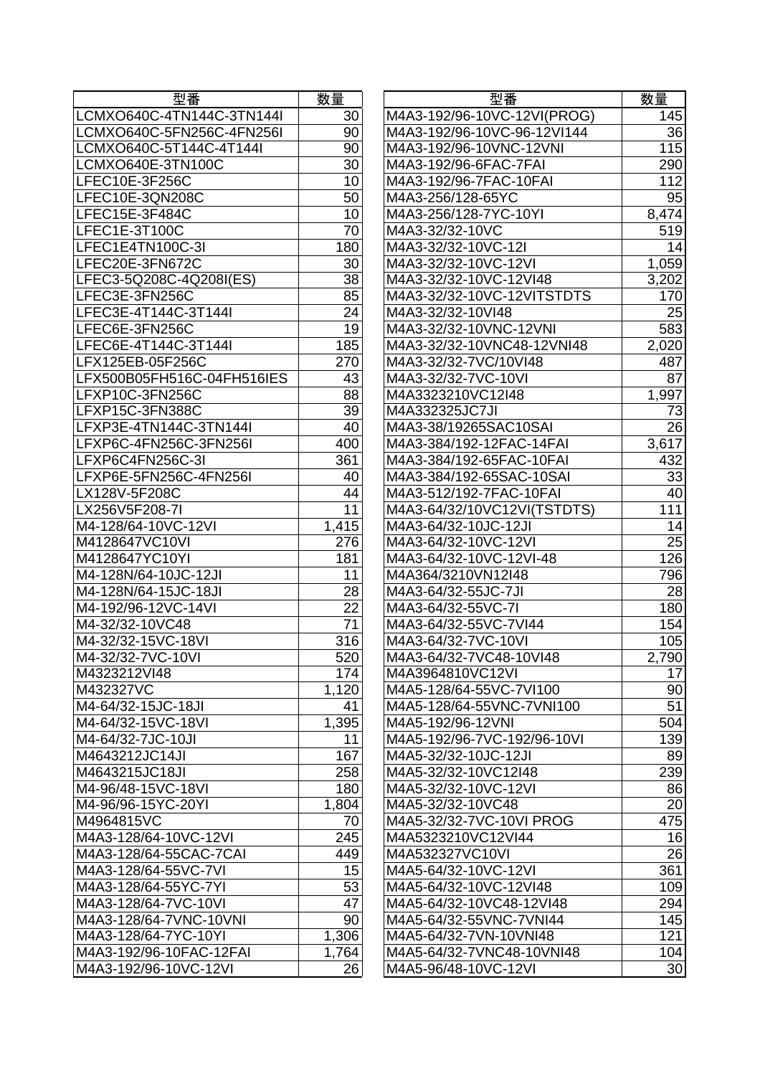| 型番                                    | 数量    |
|---------------------------------------|-------|
| LCMXO640C-4TN144C-3TN144I             | 30    |
| LCMXO640C-5FN256C-4FN256I             | 90    |
| LCMXO640C-5T144C-4T144I               | 90    |
| LCMXO640E-3TN100C                     | 30    |
| LFEC10E-3F256C                        | 10    |
| LFEC10E-3QN208C                       | 50    |
| LFEC15E-3F484C                        | 10    |
| LFEC1E-3T100C                         | 70    |
| LFEC1E4TN100C-3I                      | 180   |
| LFEC20E-3FN672C                       | 30    |
| LFEC3-5Q208C-4Q208I(ES)               | 38    |
| LFEC3E-3FN256C                        | 85    |
| LFEC3E-4T144C-3T144I                  | 24    |
| LFEC6E-3FN256C                        | 19    |
| LFEC6E-4T144C-3T144I                  | 185   |
| LFX125EB-05F256C                      | 270   |
| LFX500B05FH516C-04FH516IES            | 43    |
| LFXP10C-3FN256C                       | 88    |
| LFXP15C-3FN388C                       | 39    |
| LFXP3E-4TN144C-3TN144I                | 40    |
| LFXP6C-4FN256C-3FN256I                | 400   |
| LFXP6C4FN256C-3I                      | 361   |
| LFXP6E-5FN256C-4FN256I                | 40    |
|                                       | 44    |
| LX128V-5F208C                         |       |
| LX256V5F208-7I                        | 11    |
| M4-128/64-10VC-12VI<br>M4128647VC10VI | 1,415 |
|                                       | 276   |
| M4128647YC10YI                        | 181   |
| M4-128N/64-10JC-12JI                  | 11    |
| M4-128N/64-15JC-18JI                  | 28    |
| M4-192/96-12VC-14VI                   | 22    |
| M4-32/32-10VC48                       | 71    |
| M4-32/32-15VC-18VI                    | 316   |
| M4-32/32-7VC-10VI                     | 520   |
| M4323212VI48                          | 174   |
| M432327VC                             | 1,120 |
| M4-64/32-15JC-18JI                    | 41    |
| M4-64/32-15VC-18VI                    | 1,395 |
| M4-64/32-7JC-10JI                     | 11    |
| M4643212JC14JI                        | 167   |
| M4643215JC18JI                        | 258   |
| M4-96/48-15VC-18VI                    | 180   |
| M4-96/96-15YC-20YI                    | 1,804 |
| M4964815VC                            | 70    |
| M4A3-128/64-10VC-12VI                 | 245   |
| M4A3-128/64-55CAC-7CAI                | 449   |
| M4A3-128/64-55VC-7VI                  | 15    |
| M4A3-128/64-55YC-7YI                  | 53    |
| M4A3-128/64-7VC-10VI                  | 47    |
| M4A3-128/64-7VNC-10VNI                | 90    |
| M4A3-128/64-7YC-10YI                  | 1,306 |
| M4A3-192/96-10FAC-12FAI               | 1,764 |
| M4A3-192/96-10VC-12VI                 | 26    |

| 型番                         | 数量    | 型番                          | 数量              |
|----------------------------|-------|-----------------------------|-----------------|
| LCMXO640C-4TN144C-3TN144I  | 30    | M4A3-192/96-10VC-12VI(PROG) | 145             |
| LCMXO640C-5FN256C-4FN256I  | 90    | M4A3-192/96-10VC-96-12VI144 | 36              |
| LCMXO640C-5T144C-4T144I    | 90    | M4A3-192/96-10VNC-12VNI     | 115             |
| LCMXO640E-3TN100C          | 30    | M4A3-192/96-6FAC-7FAI       | 290             |
| LFEC10E-3F256C             | 10    | M4A3-192/96-7FAC-10FAI      | 112             |
| LFEC10E-3QN208C            | 50    | M4A3-256/128-65YC           | 95              |
| LFEC15E-3F484C             | 10    | M4A3-256/128-7YC-10YI       | 8,474           |
| LFEC1E-3T100C              | 70    | M4A3-32/32-10VC             | 519             |
| LFEC1E4TN100C-3I           | 180   | M4A3-32/32-10VC-12I         | 14              |
| LFEC20E-3FN672C            | 30    | M4A3-32/32-10VC-12VI        | 1,059           |
| LFEC3-5Q208C-4Q208I(ES)    | 38    | M4A3-32/32-10VC-12VI48      | 3,202           |
| LFEC3E-3FN256C             | 85    | M4A3-32/32-10VC-12VITSTDTS  | 170             |
| LFEC3E-4T144C-3T144I       | 24    | M4A3-32/32-10VI48           | 25              |
| LFEC6E-3FN256C             | 19    | M4A3-32/32-10VNC-12VNI      | 583             |
| LFEC6E-4T144C-3T144I       | 185   | M4A3-32/32-10VNC48-12VNI48  | 2,020           |
| LFX125EB-05F256C           | 270   | M4A3-32/32-7VC/10VI48       | 487             |
| LFX500B05FH516C-04FH516IES | 43    | M4A3-32/32-7VC-10VI         | 87              |
| LFXP10C-3FN256C            | 88    | M4A3323210VC12I48           | 1,997           |
| LFXP15C-3FN388C            | 39    | M4A332325JC7JI              | 73              |
| LFXP3E-4TN144C-3TN144I     | 40    | M4A3-38/19265SAC10SAI       | 26              |
| LFXP6C-4FN256C-3FN256I     | 400   | M4A3-384/192-12FAC-14FAI    | 3,617           |
| LFXP6C4FN256C-3I           | 361   | M4A3-384/192-65FAC-10FAI    | 432             |
| LFXP6E-5FN256C-4FN256I     | 40    | M4A3-384/192-65SAC-10SAI    | 33              |
| LX128V-5F208C              | 44    | M4A3-512/192-7FAC-10FAI     | 40              |
| LX256V5F208-7I             | 11    | M4A3-64/32/10VC12VI(TSTDTS) | 111             |
| M4-128/64-10VC-12VI        | 1,415 | M4A3-64/32-10JC-12JI        | 14              |
| M4128647VC10VI             | 276   | M4A3-64/32-10VC-12VI        | $\overline{25}$ |
| M4128647YC10YI             | 181   | M4A3-64/32-10VC-12VI-48     | 126             |
| M4-128N/64-10JC-12JI       | 11    | M4A364/3210VN12I48          | 796             |
| M4-128N/64-15JC-18JI       | 28    | M4A3-64/32-55JC-7JI         | 28              |
| M4-192/96-12VC-14VI        | 22    | M4A3-64/32-55VC-7I          | 180             |
| M4-32/32-10VC48            | 71    | M4A3-64/32-55VC-7VI44       | 154             |
| M4-32/32-15VC-18VI         | 316   | M4A3-64/32-7VC-10VI         | 105             |
| M4-32/32-7VC-10VI          | 520   | M4A3-64/32-7VC48-10VI48     | 2,790           |
| M4323212VI48               | 174   | M4A3964810VC12VI            | 17              |
| M432327VC                  | 1,120 | M4A5-128/64-55VC-7VI100     | 90              |
| M4-64/32-15JC-18JI         | 41    | M4A5-128/64-55VNC-7VNI100   | 51              |
| M4-64/32-15VC-18VI         | 1,395 | M4A5-192/96-12VNI           | 504             |
| M4-64/32-7JC-10JI          | 11    | M4A5-192/96-7VC-192/96-10VI | 139             |
| M4643212JC14JI             | 167   | M4A5-32/32-10JC-12JI        | 89              |
| M4643215JC18JI             | 258   | M4A5-32/32-10VC12I48        | 239             |
| M4-96/48-15VC-18VI         | 180   | M4A5-32/32-10VC-12VI        | 86              |
| M4-96/96-15YC-20YI         | 1,804 | M4A5-32/32-10VC48           | 20              |
| M4964815VC                 | 70    | M4A5-32/32-7VC-10VI PROG    | 475             |
| M4A3-128/64-10VC-12VI      | 245   | M4A5323210VC12VI44          | 16              |
| M4A3-128/64-55CAC-7CAI     | 449   | M4A532327VC10VI             | 26              |
| M4A3-128/64-55VC-7VI       | 15    | M4A5-64/32-10VC-12VI        | 361             |
| M4A3-128/64-55YC-7YI       | 53    | M4A5-64/32-10VC-12VI48      | 109             |
| M4A3-128/64-7VC-10VI       | 47    | M4A5-64/32-10VC48-12VI48    | 294             |
| M4A3-128/64-7VNC-10VNI     | 90    | M4A5-64/32-55VNC-7VNI44     | 145             |
| M4A3-128/64-7YC-10YI       | 1,306 | M4A5-64/32-7VN-10VNI48      | 121             |
|                            |       |                             |                 |
| M4A3-192/96-10FAC-12FAI    | 1,764 | M4A5-64/32-7VNC48-10VNI48   | 104             |
| M4A3-192/96-10VC-12VI      | 26    | M4A5-96/48-10VC-12VI        | 30              |